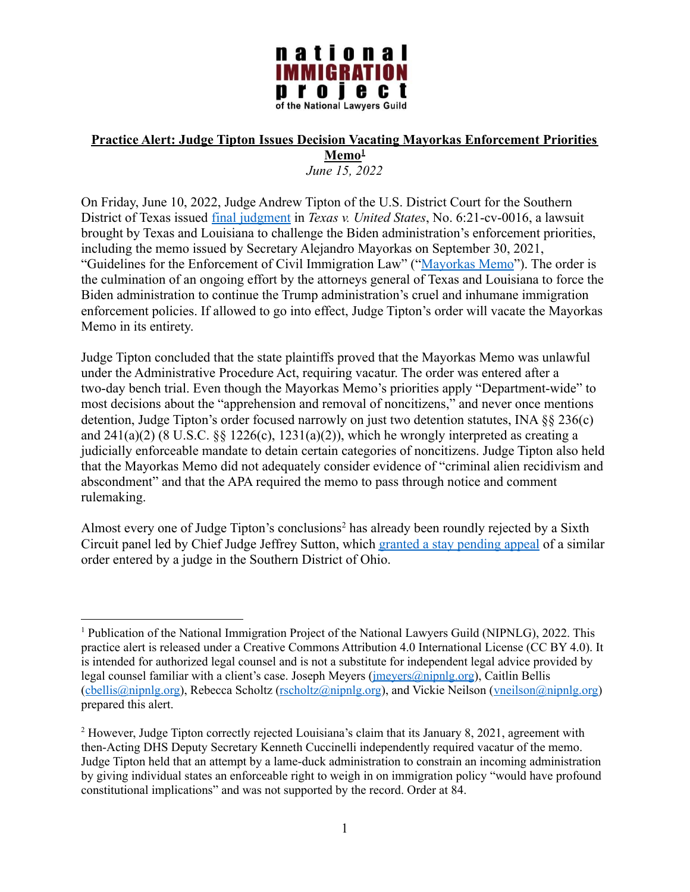

## **Practice Alert: Judge Tipton Issues Decision Vacating Mayorkas Enforcement Priorities Memo<sup>1</sup>**

*June 15, 2022*

On Friday, June 10, 2022, Judge Andrew Tipton of the U.S. District Court for the Southern District of Texas issued [final judgment](https://storage.courtlistener.com/recap/gov.uscourts.txsd.1821703/gov.uscourts.txsd.1821703.240.0_1.pdf) in *Texas v. United States*, No. 6:21-cv-0016, a lawsuit brought by Texas and Louisiana to challenge the Biden administration's enforcement priorities, including the memo issued by Secretary Alejandro Mayorkas on September 30, 2021, "Guidelines for the Enforcement of Civil Immigration Law" ("[Mayorkas Memo](https://www.ice.gov/doclib/news/guidelines-civilimmigrationlaw.pdf)"). The order is the culmination of an ongoing effort by the attorneys general of Texas and Louisiana to force the Biden administration to continue the Trump administration's cruel and inhumane immigration enforcement policies. If allowed to go into effect, Judge Tipton's order will vacate the Mayorkas Memo in its entirety.

Judge Tipton concluded that the state plaintiffs proved that the Mayorkas Memo was unlawful under the Administrative Procedure Act, requiring vacatur. The order was entered after a two-day bench trial. Even though the Mayorkas Memo's priorities apply "Department-wide" to most decisions about the "apprehension and removal of noncitizens," and never once mentions detention, Judge Tipton's order focused narrowly on just two detention statutes, INA §§ 236(c) and  $241(a)(2)$  (8 U.S.C.  $\&$  1226(c), 1231(a)(2)), which he wrongly interpreted as creating a judicially enforceable mandate to detain certain categories of noncitizens. Judge Tipton also held that the Mayorkas Memo did not adequately consider evidence of "criminal alien recidivism and abscondment" and that the APA required the memo to pass through notice and comment rulemaking.

Almost every one of Judge Tipton's conclusions<sup>2</sup> has already been roundly rejected by a Sixth Circuit panel led by Chief Judge Jeffrey Sutton, which [granted a stay pending appeal](https://www.opn.ca6.uscourts.gov/opinions.pdf/22a0074p-06.pdf) of a similar order entered by a judge in the Southern District of Ohio.

<sup>1</sup> Publication of the National Immigration Project of the National Lawyers Guild (NIPNLG), 2022. This practice alert is released under a Creative Commons Attribution 4.0 International License (CC BY 4.0). It is intended for authorized legal counsel and is not a substitute for independent legal advice provided by legal counsel familiar with a client's case. Joseph Meyers ([jmeyers@nipnlg.org](mailto:jmeyers@nipnlg.org)), Caitlin Bellis ([cbellis@nipnlg.org\)](mailto:cbellis@nipnlg.org), Rebecca Scholtz [\(rscholtz@nipnlg.org](mailto:rscholtz@nipnlg.org)), and Vickie Neilson [\(vneilson@nipnlg.org\)](mailto:vneilson@nipnlg.org) prepared this alert.

<sup>2</sup> However, Judge Tipton correctly rejected Louisiana's claim that its January 8, 2021, agreement with then-Acting DHS Deputy Secretary Kenneth Cuccinelli independently required vacatur of the memo. Judge Tipton held that an attempt by a lame-duck administration to constrain an incoming administration by giving individual states an enforceable right to weigh in on immigration policy "would have profound constitutional implications" and was not supported by the record. Order at 84.